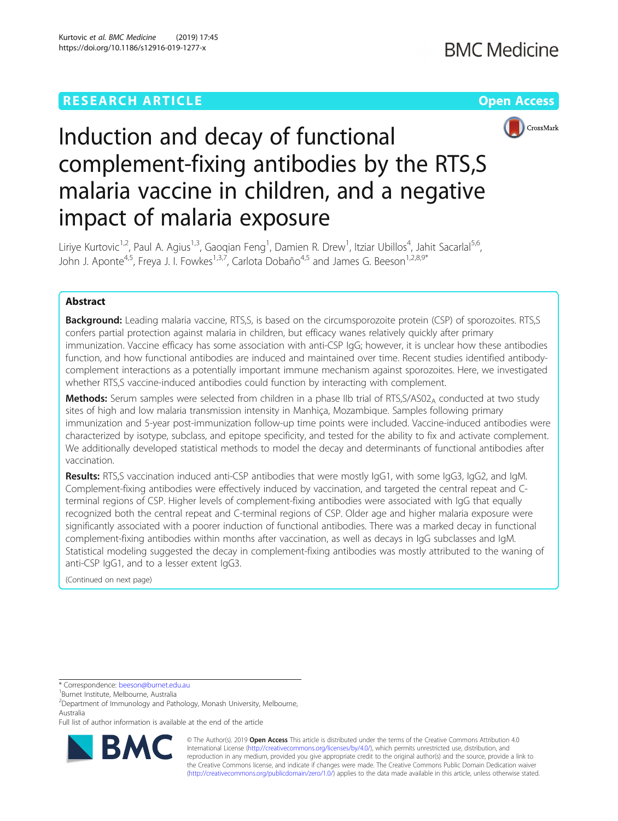## **RESEARCH ARTICLE Example 2018 12:30 THE Open Access**



# Induction and decay of functional complement-fixing antibodies by the RTS,S malaria vaccine in children, and a negative impact of malaria exposure

Liriye Kurtovic<sup>1,2</sup>, Paul A. Agius<sup>1,3</sup>, Gaoqian Feng<sup>1</sup>, Damien R. Drew<sup>1</sup>, Itziar Ubillos<sup>4</sup>, Jahit Sacarlal<sup>5,6</sup>, John J. Aponte<sup>4,5</sup>, Freya J. I. Fowkes<sup>1,3,7</sup>, Carlota Dobaño<sup>4,5</sup> and James G. Beeson<sup>1,2,8,9\*</sup>

### Abstract

**Background:** Leading malaria vaccine, RTS,S, is based on the circumsporozoite protein (CSP) of sporozoites. RTS,S confers partial protection against malaria in children, but efficacy wanes relatively quickly after primary immunization. Vaccine efficacy has some association with anti-CSP IgG; however, it is unclear how these antibodies function, and how functional antibodies are induced and maintained over time. Recent studies identified antibodycomplement interactions as a potentially important immune mechanism against sporozoites. Here, we investigated whether RTS, Svaccine-induced antibodies could function by interacting with complement.

Methods: Serum samples were selected from children in a phase IIb trial of RTS, S/AS02<sub>A</sub> conducted at two study sites of high and low malaria transmission intensity in Manhiça, Mozambique. Samples following primary immunization and 5-year post-immunization follow-up time points were included. Vaccine-induced antibodies were characterized by isotype, subclass, and epitope specificity, and tested for the ability to fix and activate complement. We additionally developed statistical methods to model the decay and determinants of functional antibodies after vaccination.

Results: RTS,S vaccination induced anti-CSP antibodies that were mostly IgG1, with some IgG3, IgG2, and IgM. Complement-fixing antibodies were effectively induced by vaccination, and targeted the central repeat and Cterminal regions of CSP. Higher levels of complement-fixing antibodies were associated with IgG that equally recognized both the central repeat and C-terminal regions of CSP. Older age and higher malaria exposure were significantly associated with a poorer induction of functional antibodies. There was a marked decay in functional complement-fixing antibodies within months after vaccination, as well as decays in IgG subclasses and IgM. Statistical modeling suggested the decay in complement-fixing antibodies was mostly attributed to the waning of anti-CSP IgG1, and to a lesser extent IgG3.

(Continued on next page)

\* Correspondence: [beeson@burnet.edu.au](mailto:beeson@burnet.edu.au) <sup>1</sup>

<sup>1</sup>Burnet Institute, Melbourne, Australia

<sup>2</sup>Department of Immunology and Pathology, Monash University, Melbourne, Australia

Full list of author information is available at the end of the article



© The Author(s). 2019 **Open Access** This article is distributed under the terms of the Creative Commons Attribution 4.0 International License [\(http://creativecommons.org/licenses/by/4.0/](http://creativecommons.org/licenses/by/4.0/)), which permits unrestricted use, distribution, and reproduction in any medium, provided you give appropriate credit to the original author(s) and the source, provide a link to the Creative Commons license, and indicate if changes were made. The Creative Commons Public Domain Dedication waiver [\(http://creativecommons.org/publicdomain/zero/1.0/](http://creativecommons.org/publicdomain/zero/1.0/)) applies to the data made available in this article, unless otherwise stated.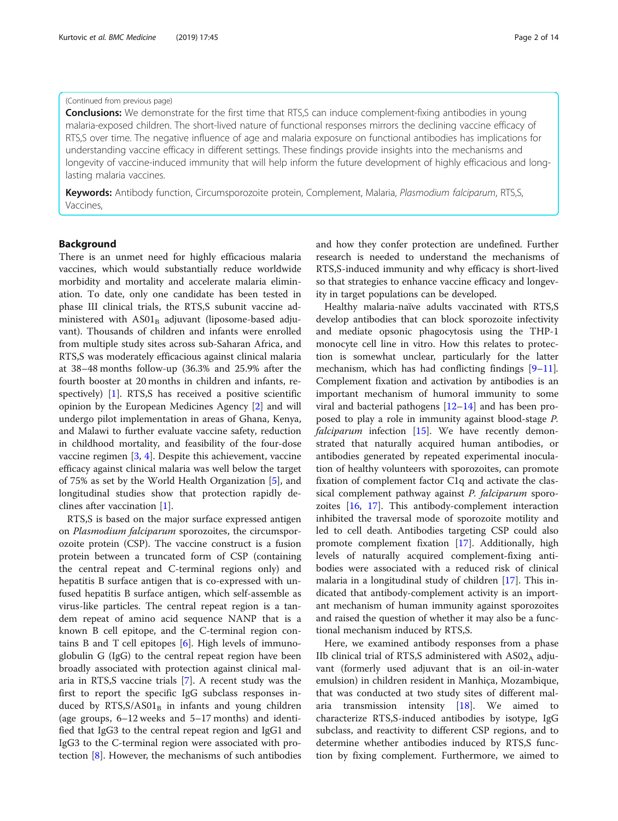#### (Continued from previous page)

**Conclusions:** We demonstrate for the first time that RTS,S can induce complement-fixing antibodies in young malaria-exposed children. The short-lived nature of functional responses mirrors the declining vaccine efficacy of RTS,S over time. The negative influence of age and malaria exposure on functional antibodies has implications for understanding vaccine efficacy in different settings. These findings provide insights into the mechanisms and longevity of vaccine-induced immunity that will help inform the future development of highly efficacious and longlasting malaria vaccines.

Keywords: Antibody function, Circumsporozoite protein, Complement, Malaria, Plasmodium falciparum, RTS,S, Vaccines,

#### Background

There is an unmet need for highly efficacious malaria vaccines, which would substantially reduce worldwide morbidity and mortality and accelerate malaria elimination. To date, only one candidate has been tested in phase III clinical trials, the RTS,S subunit vaccine administered with  $AS01<sub>B</sub>$  adjuvant (liposome-based adjuvant). Thousands of children and infants were enrolled from multiple study sites across sub-Saharan Africa, and RTS,S was moderately efficacious against clinical malaria at 38–48 months follow-up (36.3% and 25.9% after the fourth booster at 20 months in children and infants, respectively)  $[1]$  $[1]$ . RTS, has received a positive scientific opinion by the European Medicines Agency [[2\]](#page-12-0) and will undergo pilot implementation in areas of Ghana, Kenya, and Malawi to further evaluate vaccine safety, reduction in childhood mortality, and feasibility of the four-dose vaccine regimen  $[3, 4]$  $[3, 4]$  $[3, 4]$  $[3, 4]$ . Despite this achievement, vaccine efficacy against clinical malaria was well below the target of 75% as set by the World Health Organization [\[5](#page-12-0)], and longitudinal studies show that protection rapidly declines after vaccination [[1\]](#page-12-0).

RTS,S is based on the major surface expressed antigen on Plasmodium falciparum sporozoites, the circumsporozoite protein (CSP). The vaccine construct is a fusion protein between a truncated form of CSP (containing the central repeat and C-terminal regions only) and hepatitis B surface antigen that is co-expressed with unfused hepatitis B surface antigen, which self-assemble as virus-like particles. The central repeat region is a tandem repeat of amino acid sequence NANP that is a known B cell epitope, and the C-terminal region contains B and T cell epitopes [\[6](#page-12-0)]. High levels of immunoglobulin G (IgG) to the central repeat region have been broadly associated with protection against clinical malaria in RTS,S vaccine trials [[7\]](#page-12-0). A recent study was the first to report the specific IgG subclass responses induced by  $RTS, S/AS01_B$  in infants and young children (age groups, 6–12 weeks and 5–17 months) and identified that IgG3 to the central repeat region and IgG1 and IgG3 to the C-terminal region were associated with protection [\[8](#page-12-0)]. However, the mechanisms of such antibodies and how they confer protection are undefined. Further research is needed to understand the mechanisms of RTS,S-induced immunity and why efficacy is short-lived so that strategies to enhance vaccine efficacy and longevity in target populations can be developed.

Healthy malaria-naïve adults vaccinated with RTS,S develop antibodies that can block sporozoite infectivity and mediate opsonic phagocytosis using the THP-1 monocyte cell line in vitro. How this relates to protection is somewhat unclear, particularly for the latter mechanism, which has had conflicting findings  $[9-11]$  $[9-11]$  $[9-11]$  $[9-11]$  $[9-11]$ . Complement fixation and activation by antibodies is an important mechanism of humoral immunity to some viral and bacterial pathogens [[12](#page-12-0)–[14](#page-12-0)] and has been proposed to play a role in immunity against blood-stage P. *falciparum* infection  $[15]$ . We have recently demonstrated that naturally acquired human antibodies, or antibodies generated by repeated experimental inoculation of healthy volunteers with sporozoites, can promote fixation of complement factor C1q and activate the classical complement pathway against *P. falciparum* sporozoites [[16,](#page-12-0) [17](#page-12-0)]. This antibody-complement interaction inhibited the traversal mode of sporozoite motility and led to cell death. Antibodies targeting CSP could also promote complement fixation [[17\]](#page-12-0). Additionally, high levels of naturally acquired complement-fixing antibodies were associated with a reduced risk of clinical malaria in a longitudinal study of children [[17\]](#page-12-0). This indicated that antibody-complement activity is an important mechanism of human immunity against sporozoites and raised the question of whether it may also be a functional mechanism induced by RTS,S.

Here, we examined antibody responses from a phase IIb clinical trial of RTS,S administered with  $AS02_A$  adjuvant (formerly used adjuvant that is an oil-in-water emulsion) in children resident in Manhiça, Mozambique, that was conducted at two study sites of different malaria transmission intensity [[18\]](#page-12-0). We aimed to characterize RTS,S-induced antibodies by isotype, IgG subclass, and reactivity to different CSP regions, and to determine whether antibodies induced by RTS,S function by fixing complement. Furthermore, we aimed to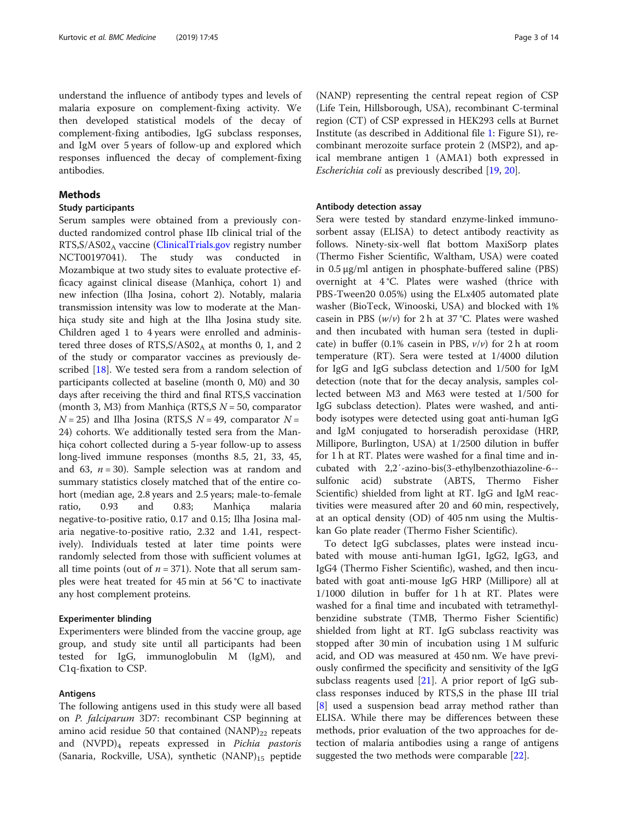understand the influence of antibody types and levels of malaria exposure on complement-fixing activity. We then developed statistical models of the decay of complement-fixing antibodies, IgG subclass responses, and IgM over 5 years of follow-up and explored which responses influenced the decay of complement-fixing antibodies.

#### Methods

#### Study participants

Serum samples were obtained from a previously conducted randomized control phase IIb clinical trial of the  $RTS, S/AS02_A$  vaccine ([ClinicalTrials.gov](http://clinicaltrials.gov) registry number NCT00197041). The study was conducted in Mozambique at two study sites to evaluate protective efficacy against clinical disease (Manhiça, cohort 1) and new infection (Ilha Josina, cohort 2). Notably, malaria transmission intensity was low to moderate at the Manhiça study site and high at the Ilha Josina study site. Children aged 1 to 4 years were enrolled and administered three doses of  $RTS, S/AS02_A$  at months 0, 1, and 2 of the study or comparator vaccines as previously described [[18](#page-12-0)]. We tested sera from a random selection of participants collected at baseline (month 0, M0) and 30 days after receiving the third and final RTS,S vaccination (month 3, M3) from Manhiça (RTS,  $N = 50$ , comparator  $N = 25$ ) and Ilha Josina (RTS,  $N = 49$ , comparator  $N =$ 24) cohorts. We additionally tested sera from the Manhiça cohort collected during a 5-year follow-up to assess long-lived immune responses (months 8.5, 21, 33, 45, and 63,  $n = 30$ ). Sample selection was at random and summary statistics closely matched that of the entire cohort (median age, 2.8 years and 2.5 years; male-to-female ratio, 0.93 and 0.83; Manhiça malaria negative-to-positive ratio, 0.17 and 0.15; Ilha Josina malaria negative-to-positive ratio, 2.32 and 1.41, respectively). Individuals tested at later time points were randomly selected from those with sufficient volumes at all time points (out of  $n = 371$ ). Note that all serum samples were heat treated for 45 min at 56 °C to inactivate any host complement proteins.

#### Experimenter blinding

Experimenters were blinded from the vaccine group, age group, and study site until all participants had been tested for IgG, immunoglobulin M (IgM), and C1q-fixation to CSP.

#### Antigens

The following antigens used in this study were all based on P. falciparum 3D7: recombinant CSP beginning at amino acid residue 50 that contained  $(NAND)_{22}$  repeats and  $(NVPD)<sub>4</sub>$  repeats expressed in *Pichia pastoris* (Sanaria, Rockville, USA), synthetic  $(NANP)_{15}$  peptide

(NANP) representing the central repeat region of CSP (Life Tein, Hillsborough, USA), recombinant C-terminal region (CT) of CSP expressed in HEK293 cells at Burnet Institute (as described in Additional file [1](#page-11-0): Figure S1), recombinant merozoite surface protein 2 (MSP2), and apical membrane antigen 1 (AMA1) both expressed in Escherichia coli as previously described [\[19](#page-12-0), [20](#page-12-0)].

#### Antibody detection assay

Sera were tested by standard enzyme-linked immunosorbent assay (ELISA) to detect antibody reactivity as follows. Ninety-six-well flat bottom MaxiSorp plates (Thermo Fisher Scientific, Waltham, USA) were coated in 0.5 μg/ml antigen in phosphate-buffered saline (PBS) overnight at 4 °C. Plates were washed (thrice with PBS-Tween20 0.05%) using the ELx405 automated plate washer (BioTeck, Winooski, USA) and blocked with 1% casein in PBS  $(w/v)$  for 2 h at 37 °C. Plates were washed and then incubated with human sera (tested in duplicate) in buffer (0.1% casein in PBS,  $v/v$ ) for 2 h at room temperature (RT). Sera were tested at 1/4000 dilution for IgG and IgG subclass detection and 1/500 for IgM detection (note that for the decay analysis, samples collected between M3 and M63 were tested at 1/500 for IgG subclass detection). Plates were washed, and antibody isotypes were detected using goat anti-human IgG and IgM conjugated to horseradish peroxidase (HRP, Millipore, Burlington, USA) at 1/2500 dilution in buffer for 1 h at RT. Plates were washed for a final time and incubated with 2,2′-azino-bis(3-ethylbenzothiazoline-6- sulfonic acid) substrate (ABTS, Thermo Fisher Scientific) shielded from light at RT. IgG and IgM reactivities were measured after 20 and 60 min, respectively, at an optical density (OD) of 405 nm using the Multiskan Go plate reader (Thermo Fisher Scientific).

To detect IgG subclasses, plates were instead incubated with mouse anti-human IgG1, IgG2, IgG3, and IgG4 (Thermo Fisher Scientific), washed, and then incubated with goat anti-mouse IgG HRP (Millipore) all at 1/1000 dilution in buffer for 1 h at RT. Plates were washed for a final time and incubated with tetramethylbenzidine substrate (TMB, Thermo Fisher Scientific) shielded from light at RT. IgG subclass reactivity was stopped after 30 min of incubation using 1 M sulfuric acid, and OD was measured at 450 nm. We have previously confirmed the specificity and sensitivity of the IgG subclass reagents used [[21\]](#page-12-0). A prior report of IgG subclass responses induced by RTS,S in the phase III trial [[8\]](#page-12-0) used a suspension bead array method rather than ELISA. While there may be differences between these methods, prior evaluation of the two approaches for detection of malaria antibodies using a range of antigens suggested the two methods were comparable [\[22\]](#page-12-0).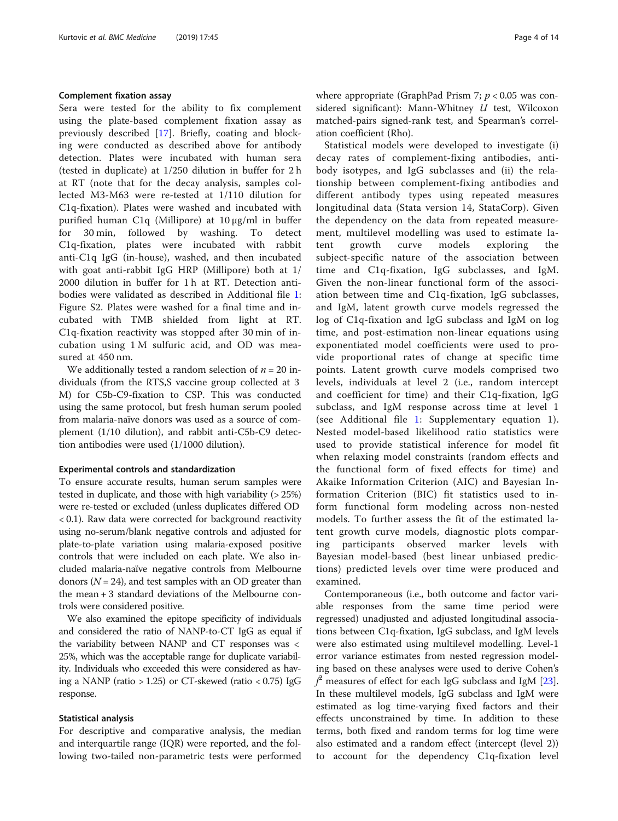#### Complement fixation assay

Sera were tested for the ability to fix complement using the plate-based complement fixation assay as previously described [[17\]](#page-12-0). Briefly, coating and blocking were conducted as described above for antibody detection. Plates were incubated with human sera (tested in duplicate) at 1/250 dilution in buffer for 2 h at RT (note that for the decay analysis, samples collected M3-M63 were re-tested at 1/110 dilution for C1q-fixation). Plates were washed and incubated with purified human C1q (Millipore) at 10 μg/ml in buffer for 30 min, followed by washing. To detect C1q-fixation, plates were incubated with rabbit anti-C1q IgG (in-house), washed, and then incubated with goat anti-rabbit IgG HRP (Millipore) both at 1/ 2000 dilution in buffer for 1 h at RT. Detection antibodies were validated as described in Additional file [1](#page-11-0): Figure S2. Plates were washed for a final time and incubated with TMB shielded from light at RT. C1q-fixation reactivity was stopped after 30 min of incubation using 1 M sulfuric acid, and OD was measured at 450 nm.

We additionally tested a random selection of  $n = 20$  individuals (from the RTS,S vaccine group collected at 3 M) for C5b-C9-fixation to CSP. This was conducted using the same protocol, but fresh human serum pooled from malaria-naïve donors was used as a source of complement (1/10 dilution), and rabbit anti-C5b-C9 detection antibodies were used (1/1000 dilution).

#### Experimental controls and standardization

To ensure accurate results, human serum samples were tested in duplicate, and those with high variability  $(> 25%)$ were re-tested or excluded (unless duplicates differed OD < 0.1). Raw data were corrected for background reactivity using no-serum/blank negative controls and adjusted for plate-to-plate variation using malaria-exposed positive controls that were included on each plate. We also included malaria-naïve negative controls from Melbourne donors  $(N = 24)$ , and test samples with an OD greater than the mean + 3 standard deviations of the Melbourne controls were considered positive.

We also examined the epitope specificity of individuals and considered the ratio of NANP-to-CT IgG as equal if the variability between NANP and CT responses was < 25%, which was the acceptable range for duplicate variability. Individuals who exceeded this were considered as having a NANP (ratio > 1.25) or CT-skewed (ratio < 0.75) IgG response.

#### Statistical analysis

For descriptive and comparative analysis, the median and interquartile range (IQR) were reported, and the following two-tailed non-parametric tests were performed where appropriate (GraphPad Prism 7;  $p < 0.05$  was considered significant): Mann-Whitney  $U$  test, Wilcoxon matched-pairs signed-rank test, and Spearman's correlation coefficient (Rho).

Statistical models were developed to investigate (i) decay rates of complement-fixing antibodies, antibody isotypes, and IgG subclasses and (ii) the relationship between complement-fixing antibodies and different antibody types using repeated measures longitudinal data (Stata version 14, StataCorp). Given the dependency on the data from repeated measurement, multilevel modelling was used to estimate latent growth curve models exploring the subject-specific nature of the association between time and C1q-fixation, IgG subclasses, and IgM. Given the non-linear functional form of the association between time and C1q-fixation, IgG subclasses, and IgM, latent growth curve models regressed the log of C1q-fixation and IgG subclass and IgM on log time, and post-estimation non-linear equations using exponentiated model coefficients were used to provide proportional rates of change at specific time points. Latent growth curve models comprised two levels, individuals at level 2 (i.e., random intercept and coefficient for time) and their C1q-fixation, IgG subclass, and IgM response across time at level 1 (see Additional file [1:](#page-11-0) Supplementary equation 1). Nested model-based likelihood ratio statistics were used to provide statistical inference for model fit when relaxing model constraints (random effects and the functional form of fixed effects for time) and Akaike Information Criterion (AIC) and Bayesian Information Criterion (BIC) fit statistics used to inform functional form modeling across non-nested models. To further assess the fit of the estimated latent growth curve models, diagnostic plots comparing participants observed marker levels with Bayesian model-based (best linear unbiased predictions) predicted levels over time were produced and examined.

Contemporaneous (i.e., both outcome and factor variable responses from the same time period were regressed) unadjusted and adjusted longitudinal associations between C1q-fixation, IgG subclass, and IgM levels were also estimated using multilevel modelling. Level-1 error variance estimates from nested regression modeling based on these analyses were used to derive Cohen's  $f^2$  measures of effect for each IgG subclass and IgM [\[23](#page-13-0)]. In these multilevel models, IgG subclass and IgM were estimated as log time-varying fixed factors and their effects unconstrained by time. In addition to these terms, both fixed and random terms for log time were also estimated and a random effect (intercept (level 2)) to account for the dependency C1q-fixation level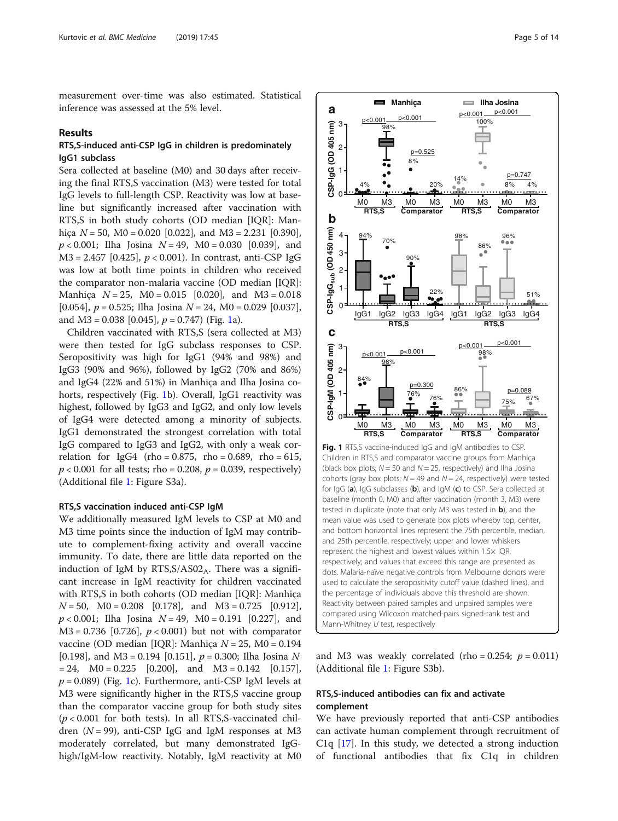measurement over-time was also estimated. Statistical inference was assessed at the 5% level.

#### Results

#### RTS,S-induced anti-CSP IgG in children is predominately IgG1 subclass

Sera collected at baseline (M0) and 30 days after receiving the final RTS,S vaccination (M3) were tested for total IgG levels to full-length CSP. Reactivity was low at baseline but significantly increased after vaccination with RTS,S in both study cohorts (OD median [IQR]: Manhiça  $N = 50$ ,  $M0 = 0.020$  [0.022], and  $M3 = 2.231$  [0.390],  $p < 0.001$ ; Ilha Josina  $N = 49$ , M0 = 0.030 [0.039], and  $M3 = 2.457$  [0.425],  $p < 0.001$ ). In contrast, anti-CSP IgG was low at both time points in children who received the comparator non-malaria vaccine (OD median [IQR]: Manhiça  $N = 25$ , M0 = 0.015 [0.020], and M3 = 0.018 [0.054],  $p = 0.525$ ; Ilha Josina  $N = 24$ , M0 = 0.029 [0.037], and  $M3 = 0.038$  [0.045],  $p = 0.747$ ) (Fig. 1a).

Children vaccinated with RTS,S (sera collected at M3) were then tested for IgG subclass responses to CSP. Seropositivity was high for IgG1 (94% and 98%) and IgG3 (90% and 96%), followed by IgG2 (70% and 86%) and IgG4 (22% and 51%) in Manhiça and Ilha Josina cohorts, respectively (Fig. 1b). Overall, IgG1 reactivity was highest, followed by IgG3 and IgG2, and only low levels of IgG4 were detected among a minority of subjects. IgG1 demonstrated the strongest correlation with total IgG compared to IgG3 and IgG2, with only a weak correlation for  $IgG4$  (rho = 0.875, rho = 0.689, rho = 615,  $p < 0.001$  for all tests; rho = 0.208,  $p = 0.039$ , respectively) (Additional file [1](#page-11-0): Figure S3a).

#### RTS,S vaccination induced anti-CSP IgM

We additionally measured IgM levels to CSP at M0 and M3 time points since the induction of IgM may contribute to complement-fixing activity and overall vaccine immunity. To date, there are little data reported on the induction of IgM by  $RTS, S/AS02_A$ . There was a significant increase in IgM reactivity for children vaccinated with RTS,S in both cohorts (OD median [IQR]: Manhiça  $N = 50$ ,  $M0 = 0.208$  [0.178], and  $M3 = 0.725$  [0.912],  $p < 0.001$ ; Ilha Josina  $N = 49$ , M0 = 0.191 [0.227], and  $M3 = 0.736$  [0.726],  $p < 0.001$ ) but not with comparator vaccine (OD median [IQR]: Manhiça  $N = 25$ , M0 = 0.194 [0.198], and M3 = 0.194 [0.151],  $p = 0.300$ ; Ilha Josina N  $= 24$ , M0  $= 0.225$  [0.200], and M3  $= 0.142$  [0.157],  $p = 0.089$  (Fig. 1c). Furthermore, anti-CSP IgM levels at M3 were significantly higher in the RTS,S vaccine group than the comparator vaccine group for both study sites  $(p < 0.001$  for both tests). In all RTS,S-vaccinated children  $(N = 99)$ , anti-CSP IgG and IgM responses at M3 moderately correlated, but many demonstrated IgGhigh/IgM-low reactivity. Notably, IgM reactivity at M0



and M3 was weakly correlated (rho =  $0.254$ ;  $p = 0.011$ ) (Additional file [1](#page-11-0): Figure S3b).

#### RTS,S-induced antibodies can fix and activate complement

We have previously reported that anti-CSP antibodies can activate human complement through recruitment of C<sub>1</sub>q  $[17]$  $[17]$  $[17]$ . In this study, we detected a strong induction of functional antibodies that fix C1q in children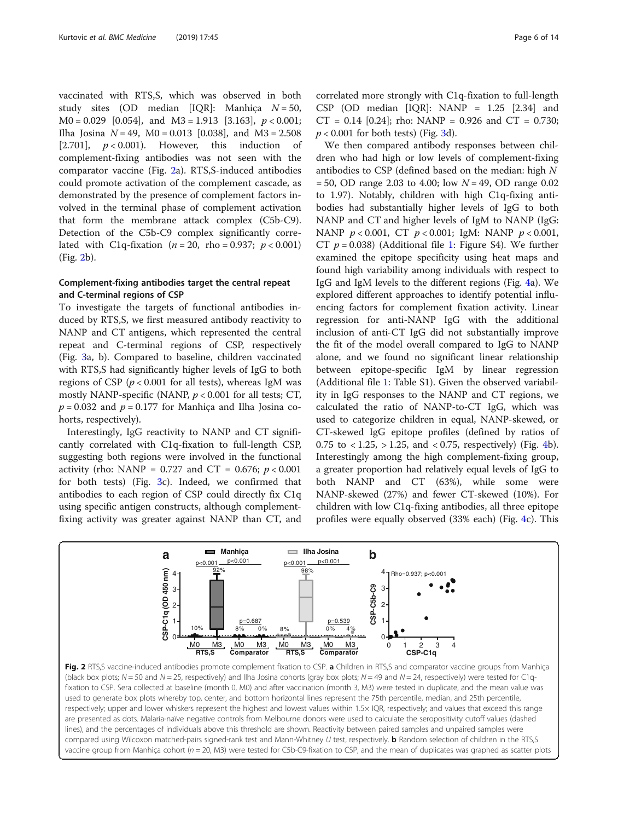vaccinated with RTS,S, which was observed in both study sites (OD median [IQR]: Manhiça  $N = 50$ ,  $M0 = 0.029$  [0.054], and  $M3 = 1.913$  [3.163],  $p < 0.001$ ; Ilha Josina  $N = 49$ ,  $M0 = 0.013$  [0.038], and  $M3 = 2.508$ [2.701],  $p < 0.001$ ). However, this induction of complement-fixing antibodies was not seen with the comparator vaccine (Fig. 2a). RTS,S-induced antibodies could promote activation of the complement cascade, as demonstrated by the presence of complement factors involved in the terminal phase of complement activation that form the membrane attack complex (C5b-C9). Detection of the C5b-C9 complex significantly correlated with C1q-fixation ( $n = 20$ , rho = 0.937;  $p < 0.001$ ) (Fig. 2b).

#### Complement-fixing antibodies target the central repeat and C-terminal regions of CSP

To investigate the targets of functional antibodies induced by RTS,S, we first measured antibody reactivity to NANP and CT antigens, which represented the central repeat and C-terminal regions of CSP, respectively (Fig. [3a](#page-6-0), b). Compared to baseline, children vaccinated with RTS,S had significantly higher levels of IgG to both regions of CSP ( $p < 0.001$  for all tests), whereas IgM was mostly NANP-specific (NANP,  $p < 0.001$  for all tests; CT,  $p = 0.032$  and  $p = 0.177$  for Manhiça and Ilha Josina cohorts, respectively).

Interestingly, IgG reactivity to NANP and CT significantly correlated with C1q-fixation to full-length CSP, suggesting both regions were involved in the functional activity (rho: NANP = 0.727 and CT = 0.676;  $p < 0.001$ for both tests) (Fig. [3](#page-6-0)c). Indeed, we confirmed that antibodies to each region of CSP could directly fix C1q using specific antigen constructs, although complementfixing activity was greater against NANP than CT, and

correlated more strongly with C1q-fixation to full-length CSP (OD median [IQR]: NANP = 1.25 [2.34] and  $CT = 0.14$  [0.24]; rho: NANP = 0.926 and  $CT = 0.730$ ;  $p < 0.001$  for both tests) (Fig. [3](#page-6-0)d).

We then compared antibody responses between children who had high or low levels of complement-fixing antibodies to CSP (defined based on the median: high N  $= 50$ , OD range 2.03 to 4.00; low  $N = 49$ , OD range 0.02 to 1.97). Notably, children with high C1q-fixing antibodies had substantially higher levels of IgG to both NANP and CT and higher levels of IgM to NANP (IgG: NANP  $p < 0.001$ , CT  $p < 0.001$ ; IgM: NANP  $p < 0.001$ , CT  $p = 0.038$ ) (Additional file [1](#page-11-0): Figure S4). We further examined the epitope specificity using heat maps and found high variability among individuals with respect to IgG and IgM levels to the different regions (Fig. [4](#page-7-0)a). We explored different approaches to identify potential influencing factors for complement fixation activity. Linear regression for anti-NANP IgG with the additional inclusion of anti-CT IgG did not substantially improve the fit of the model overall compared to IgG to NANP alone, and we found no significant linear relationship between epitope-specific IgM by linear regression (Additional file [1](#page-11-0): Table S1). Given the observed variability in IgG responses to the NANP and CT regions, we calculated the ratio of NANP-to-CT IgG, which was used to categorize children in equal, NANP-skewed, or CT-skewed IgG epitope profiles (defined by ratios of 0.75 to  $\langle 1.25, \rangle$  1.25, and  $\langle 0.75, \rangle$  respectively) (Fig. [4](#page-7-0)b). Interestingly among the high complement-fixing group, a greater proportion had relatively equal levels of IgG to both NANP and CT (63%), while some were NANP-skewed (27%) and fewer CT-skewed (10%). For children with low C1q-fixing antibodies, all three epitope profiles were equally observed (33% each) (Fig. [4](#page-7-0)c). This

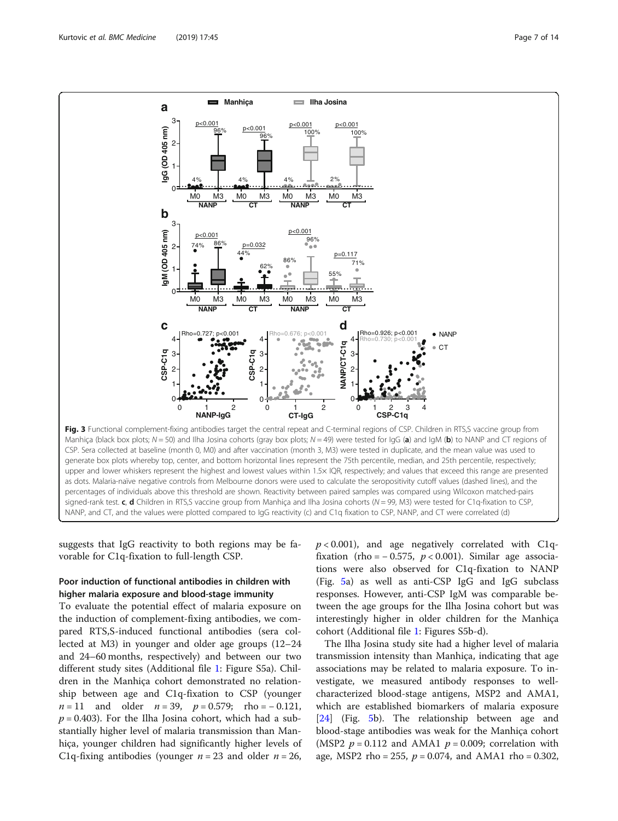<span id="page-6-0"></span>

upper and lower whiskers represent the highest and lowest values within 1.5× IQR, respectively; and values that exceed this range are presented as dots. Malaria-naïve negative controls from Melbourne donors were used to calculate the seropositivity cutoff values (dashed lines), and the percentages of individuals above this threshold are shown. Reactivity between paired samples was compared using Wilcoxon matched-pairs signed-rank test. c, d Children in RTS,S vaccine group from Manhiça and Ilha Josina cohorts ( $N = 99$ , M3) were tested for C1q-fixation to CSP, NANP, and CT, and the values were plotted compared to IgG reactivity (c) and C1q fixation to CSP, NANP, and CT were correlated (d)

suggests that IgG reactivity to both regions may be favorable for C1q-fixation to full-length CSP.

#### Poor induction of functional antibodies in children with higher malaria exposure and blood-stage immunity

To evaluate the potential effect of malaria exposure on the induction of complement-fixing antibodies, we compared RTS,S-induced functional antibodies (sera collected at M3) in younger and older age groups (12–24 and 24–60 months, respectively) and between our two different study sites (Additional file [1:](#page-11-0) Figure S5a). Children in the Manhiça cohort demonstrated no relationship between age and C1q-fixation to CSP (younger  $n = 11$  and older  $n = 39$ ,  $p = 0.579$ ; rho = -0.121,  $p = 0.403$ ). For the Ilha Josina cohort, which had a substantially higher level of malaria transmission than Manhiça, younger children had significantly higher levels of C1q-fixing antibodies (younger  $n = 23$  and older  $n = 26$ ,  $p < 0.001$ ), and age negatively correlated with C1qfixation (rho =  $-0.575$ ,  $p < 0.001$ ). Similar age associations were also observed for C1q-fixation to NANP (Fig. [5a](#page-8-0)) as well as anti-CSP IgG and IgG subclass responses. However, anti-CSP IgM was comparable between the age groups for the Ilha Josina cohort but was interestingly higher in older children for the Manhiça cohort (Additional file [1:](#page-11-0) Figures S5b-d).

The Ilha Josina study site had a higher level of malaria transmission intensity than Manhiça, indicating that age associations may be related to malaria exposure. To investigate, we measured antibody responses to wellcharacterized blood-stage antigens, MSP2 and AMA1, which are established biomarkers of malaria exposure [[24\]](#page-13-0) (Fig. [5](#page-8-0)b). The relationship between age and blood-stage antibodies was weak for the Manhiça cohort (MSP2  $p = 0.112$  and AMA1  $p = 0.009$ ; correlation with age, MSP2 rho = 255,  $p = 0.074$ , and AMA1 rho = 0.302,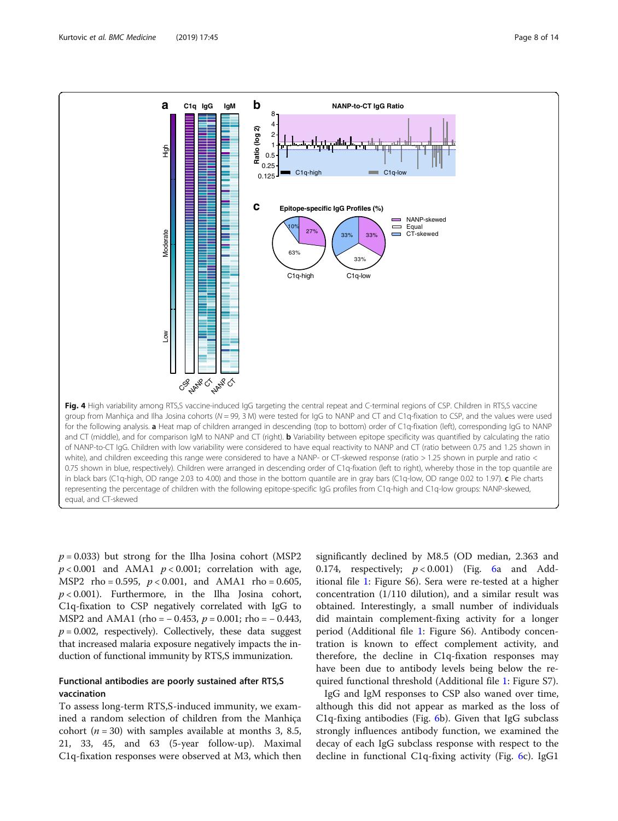<span id="page-7-0"></span>

 $p = 0.033$ ) but strong for the Ilha Josina cohort (MSP2  $p < 0.001$  and AMA1  $p < 0.001$ ; correlation with age, MSP2 rho = 0.595,  $p < 0.001$ , and AMA1 rho = 0.605,  $p < 0.001$ ). Furthermore, in the Ilha Josina cohort, C1q-fixation to CSP negatively correlated with IgG to MSP2 and AMA1 (rho =  $-0.453$ ,  $p = 0.001$ ; rho =  $-0.443$ ,  $p = 0.002$ , respectively). Collectively, these data suggest that increased malaria exposure negatively impacts the induction of functional immunity by RTS,S immunization.

#### Functional antibodies are poorly sustained after RTS,S vaccination

To assess long-term RTS,S-induced immunity, we examined a random selection of children from the Manhiça cohort ( $n = 30$ ) with samples available at months 3, 8.5, 21, 33, 45, and 63 (5-year follow-up). Maximal C1q-fixation responses were observed at M3, which then

significantly declined by M8.5 (OD median, 2.363 and 0.174, respectively;  $p < 0.001$ ) (Fig. [6a](#page-8-0) and Additional file [1](#page-11-0): Figure S6). Sera were re-tested at a higher concentration (1/110 dilution), and a similar result was obtained. Interestingly, a small number of individuals did maintain complement-fixing activity for a longer period (Additional file [1](#page-11-0): Figure S6). Antibody concentration is known to effect complement activity, and therefore, the decline in C1q-fixation responses may have been due to antibody levels being below the required functional threshold (Additional file [1](#page-11-0): Figure S7).

IgG and IgM responses to CSP also waned over time, although this did not appear as marked as the loss of C1q-fixing antibodies (Fig.  $6b$ ). Given that IgG subclass strongly influences antibody function, we examined the decay of each IgG subclass response with respect to the decline in functional C1q-fixing activity (Fig. [6](#page-8-0)c). IgG1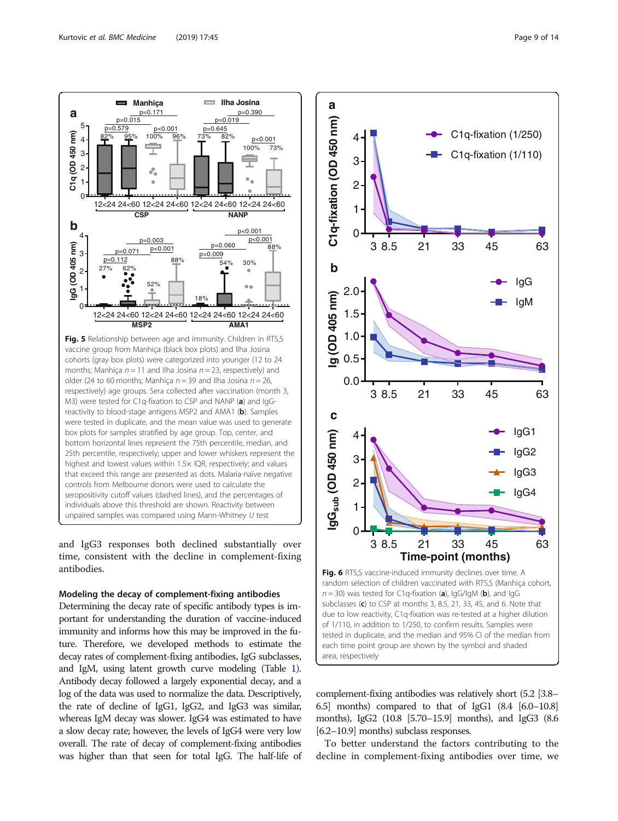<span id="page-8-0"></span>

and IgG3 responses both declined substantially over time, consistent with the decline in complement-fixing antibodies.

#### Modeling the decay of complement-fixing antibodies

Determining the decay rate of specific antibody types is important for understanding the duration of vaccine-induced immunity and informs how this may be improved in the future. Therefore, we developed methods to estimate the decay rates of complement-fixing antibodies, IgG subclasses, and IgM, using latent growth curve modeling (Table [1\)](#page-9-0). Antibody decay followed a largely exponential decay, and a log of the data was used to normalize the data. Descriptively, the rate of decline of IgG1, IgG2, and IgG3 was similar, whereas IgM decay was slower. IgG4 was estimated to have a slow decay rate; however, the levels of IgG4 were very low overall. The rate of decay of complement-fixing antibodies was higher than that seen for total IgG. The half-life of



complement-fixing antibodies was relatively short (5.2 [3.8– 6.5] months) compared to that of IgG1 (8.4 [6.0–10.8] months), IgG2 (10.8 [5.70–15.9] months), and IgG3 (8.6 [6.2–10.9] months) subclass responses.

To better understand the factors contributing to the decline in complement-fixing antibodies over time, we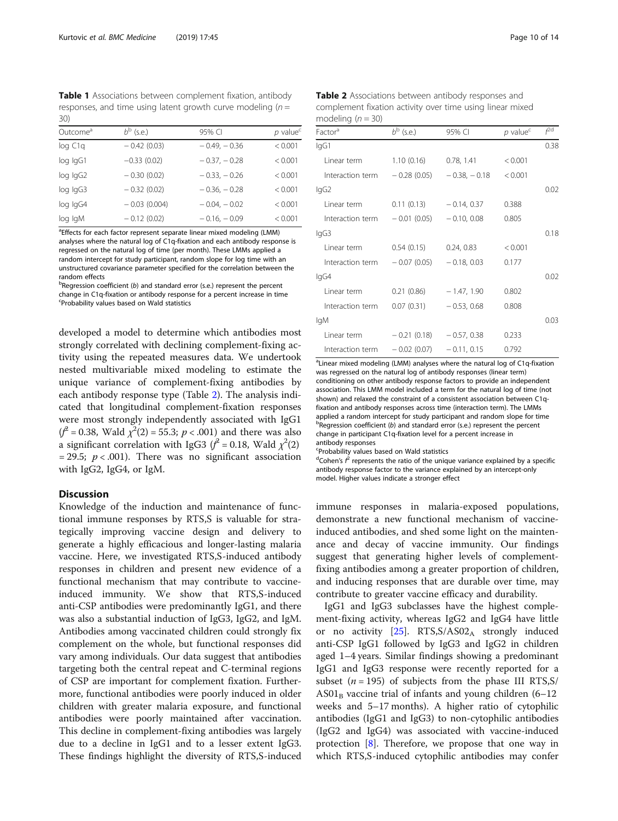<span id="page-9-0"></span>Table 1 Associations between complement fixation, antibody responses, and time using latent growth curve modeling  $(n =$ 30)

| Outcome <sup>a</sup> | $b^{\rm b}$ (s.e.) | 95% CI         | $p$ value <sup>c</sup> |
|----------------------|--------------------|----------------|------------------------|
| log C1q              | $-0.42(0.03)$      | $-0.49, -0.36$ | < 0.001                |
| log IgG1             | $-0.33(0.02)$      | $-0.37, -0.28$ | < 0.001                |
| log IgG2             | $-0.30(0.02)$      | $-0.33, -0.26$ | < 0.001                |
| log IgG3             | $-0.32(0.02)$      | $-0.36, -0.28$ | < 0.001                |
| log IgG4             | $-0.03(0.004)$     | $-0.04, -0.02$ | < 0.001                |
| log IgM              | $-0.12(0.02)$      | $-0.16, -0.09$ | < 0.001                |

<sup>a</sup> Effects for each factor represent separate linear mixed modeling (LMM) analyses where the natural log of C1q-fixation and each antibody response is regressed on the natural log of time (per month). These LMMs applied a random intercept for study participant, random slope for log time with an unstructured covariance parameter specified for the correlation between the random effects

<sup>b</sup>Regression coefficient (b) and standard error (s.e.) represent the percent change in C1q-fixation or antibody response for a percent increase in time c Probability values based on Wald statistics

developed a model to determine which antibodies most strongly correlated with declining complement-fixing activity using the repeated measures data. We undertook nested multivariable mixed modeling to estimate the unique variance of complement-fixing antibodies by each antibody response type (Table 2). The analysis indicated that longitudinal complement-fixation responses were most strongly independently associated with IgG1  $(f^2 = 0.38$ , Wald  $\chi^2(2) = 55.3$ ;  $p < .001$ ) and there was also a significant correlation with IgG3 ( $f^2$  = 0.18, Wald  $\chi^2(2)$  $= 29.5$ ;  $p < .001$ ). There was no significant association with IgG2, IgG4, or IgM.

#### Discussion

Knowledge of the induction and maintenance of functional immune responses by RTS,S is valuable for strategically improving vaccine design and delivery to generate a highly efficacious and longer-lasting malaria vaccine. Here, we investigated RTS,S-induced antibody responses in children and present new evidence of a functional mechanism that may contribute to vaccineinduced immunity. We show that RTS,S-induced anti-CSP antibodies were predominantly IgG1, and there was also a substantial induction of IgG3, IgG2, and IgM. Antibodies among vaccinated children could strongly fix complement on the whole, but functional responses did vary among individuals. Our data suggest that antibodies targeting both the central repeat and C-terminal regions of CSP are important for complement fixation. Furthermore, functional antibodies were poorly induced in older children with greater malaria exposure, and functional antibodies were poorly maintained after vaccination. This decline in complement-fixing antibodies was largely due to a decline in IgG1 and to a lesser extent IgG3. These findings highlight the diversity of RTS,S-induced

Table 2 Associations between antibody responses and complement fixation activity over time using linear mixed modeling  $(n = 30)$ 

| Factor <sup>a</sup> | $b^{\rm b}$ (s.e.) | 95% CI         | $p$ value <sup>c</sup> | f <sup>2d</sup> |
|---------------------|--------------------|----------------|------------------------|-----------------|
| lgG1                |                    |                |                        | 0.38            |
| Linear term         | 1.10(0.16)         | 0.78, 1.41     | < 0.001                |                 |
| Interaction term    | $-0.28(0.05)$      | $-0.38, -0.18$ | < 0.001                |                 |
| IgG2                |                    |                |                        | 0.02            |
| Linear term         | 0.11(0.13)         | $-0.14, 0.37$  | 0.388                  |                 |
| Interaction term    | $-0.01(0.05)$      | $-0.10, 0.08$  | 0.805                  |                 |
| lgG3                |                    |                |                        | 0.18            |
| Linear term         | 0.54(0.15)         | 0.24, 0.83     | < 0.001                |                 |
| Interaction term    | $-0.07(0.05)$      | $-0.18, 0.03$  | 0.177                  |                 |
| lgG4                |                    |                |                        | 0.02            |
| Linear term         | 0.21(0.86)         | $-1.47, 1.90$  | 0.802                  |                 |
| Interaction term    | 0.07(0.31)         | $-0.53, 0.68$  | 0.808                  |                 |
| lgM                 |                    |                |                        | 0.03            |
| Linear term         | $-0.21(0.18)$      | $-0.57, 0.38$  | 0.233                  |                 |
| Interaction term    | $-0.02(0.07)$      | $-0.11, 0.15$  | 0.792                  |                 |

<sup>a</sup>Linear mixed modeling (LMM) analyses where the natural log of C1q-fixation was regressed on the natural log of antibody responses (linear term) conditioning on other antibody response factors to provide an independent association. This LMM model included a term for the natural log of time (not shown) and relaxed the constraint of a consistent association between C1qfixation and antibody responses across time (interaction term). The LMMs applied a random intercept for study participant and random slope for time **bRegression coefficient (b) and standard error (s.e.) represent the percent** change in participant C1q-fixation level for a percent increase in antibody responses

c Probability values based on Wald statistics

<sup>d</sup>Cohen's  $\hat{f}^2$  represents the ratio of the unique variance explained by a specific antibody response factor to the variance explained by an intercept-only model. Higher values indicate a stronger effect

immune responses in malaria-exposed populations, demonstrate a new functional mechanism of vaccineinduced antibodies, and shed some light on the maintenance and decay of vaccine immunity. Our findings suggest that generating higher levels of complementfixing antibodies among a greater proportion of children, and inducing responses that are durable over time, may contribute to greater vaccine efficacy and durability.

IgG1 and IgG3 subclasses have the highest complement-fixing activity, whereas IgG2 and IgG4 have little or no activity  $[25]$  $[25]$  $[25]$ . RTS,  $S/AS02_A$  strongly induced anti-CSP IgG1 followed by IgG3 and IgG2 in children aged 1–4 years. Similar findings showing a predominant IgG1 and IgG3 response were recently reported for a subset ( $n = 195$ ) of subjects from the phase III RTS, S/  $AS01<sub>B</sub>$  vaccine trial of infants and young children (6–12) weeks and 5–17 months). A higher ratio of cytophilic antibodies (IgG1 and IgG3) to non-cytophilic antibodies (IgG2 and IgG4) was associated with vaccine-induced protection [[8\]](#page-12-0). Therefore, we propose that one way in which RTS,S-induced cytophilic antibodies may confer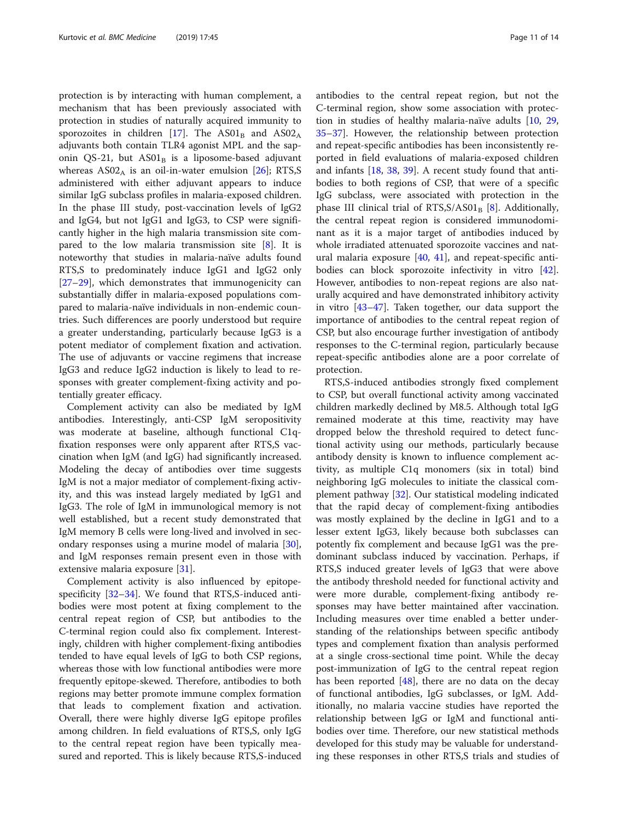protection is by interacting with human complement, a mechanism that has been previously associated with protection in studies of naturally acquired immunity to sporozoites in children [\[17\]](#page-12-0). The  $AS01_B$  and  $AS02_A$ adjuvants both contain TLR4 agonist MPL and the saponin QS-21, but  $AS01_B$  is a liposome-based adjuvant whereas  $AS02_A$  is an oil-in-water emulsion [[26](#page-13-0)]; RTS,S administered with either adjuvant appears to induce similar IgG subclass profiles in malaria-exposed children. In the phase III study, post-vaccination levels of IgG2 and IgG4, but not IgG1 and IgG3, to CSP were significantly higher in the high malaria transmission site compared to the low malaria transmission site  $[8]$  $[8]$ . It is noteworthy that studies in malaria-naïve adults found RTS,S to predominately induce IgG1 and IgG2 only [[27](#page-13-0)–[29](#page-13-0)], which demonstrates that immunogenicity can substantially differ in malaria-exposed populations compared to malaria-naïve individuals in non-endemic countries. Such differences are poorly understood but require a greater understanding, particularly because IgG3 is a potent mediator of complement fixation and activation. The use of adjuvants or vaccine regimens that increase IgG3 and reduce IgG2 induction is likely to lead to responses with greater complement-fixing activity and potentially greater efficacy.

Complement activity can also be mediated by IgM antibodies. Interestingly, anti-CSP IgM seropositivity was moderate at baseline, although functional C1qfixation responses were only apparent after RTS,S vaccination when IgM (and IgG) had significantly increased. Modeling the decay of antibodies over time suggests IgM is not a major mediator of complement-fixing activity, and this was instead largely mediated by IgG1 and IgG3. The role of IgM in immunological memory is not well established, but a recent study demonstrated that IgM memory B cells were long-lived and involved in secondary responses using a murine model of malaria [\[30](#page-13-0)], and IgM responses remain present even in those with extensive malaria exposure [[31\]](#page-13-0).

Complement activity is also influenced by epitopespecificity [\[32](#page-13-0)–[34\]](#page-13-0). We found that RTS,S-induced antibodies were most potent at fixing complement to the central repeat region of CSP, but antibodies to the C-terminal region could also fix complement. Interestingly, children with higher complement-fixing antibodies tended to have equal levels of IgG to both CSP regions, whereas those with low functional antibodies were more frequently epitope-skewed. Therefore, antibodies to both regions may better promote immune complex formation that leads to complement fixation and activation. Overall, there were highly diverse IgG epitope profiles among children. In field evaluations of RTS,S, only IgG to the central repeat region have been typically measured and reported. This is likely because RTS,S-induced antibodies to the central repeat region, but not the C-terminal region, show some association with protection in studies of healthy malaria-naïve adults [[10,](#page-12-0) [29](#page-13-0), [35](#page-13-0)–[37](#page-13-0)]. However, the relationship between protection and repeat-specific antibodies has been inconsistently reported in field evaluations of malaria-exposed children and infants [[18](#page-12-0), [38](#page-13-0), [39](#page-13-0)]. A recent study found that antibodies to both regions of CSP, that were of a specific IgG subclass, were associated with protection in the phase III clinical trial of  $RTS, S/AS01_B$  [\[8](#page-12-0)]. Additionally, the central repeat region is considered immunodominant as it is a major target of antibodies induced by whole irradiated attenuated sporozoite vaccines and natural malaria exposure [[40](#page-13-0), [41](#page-13-0)], and repeat-specific antibodies can block sporozoite infectivity in vitro [\[42](#page-13-0)]. However, antibodies to non-repeat regions are also naturally acquired and have demonstrated inhibitory activity in vitro [\[43](#page-13-0)–[47\]](#page-13-0). Taken together, our data support the importance of antibodies to the central repeat region of CSP, but also encourage further investigation of antibody responses to the C-terminal region, particularly because repeat-specific antibodies alone are a poor correlate of protection.

RTS,S-induced antibodies strongly fixed complement to CSP, but overall functional activity among vaccinated children markedly declined by M8.5. Although total IgG remained moderate at this time, reactivity may have dropped below the threshold required to detect functional activity using our methods, particularly because antibody density is known to influence complement activity, as multiple C1q monomers (six in total) bind neighboring IgG molecules to initiate the classical complement pathway [\[32\]](#page-13-0). Our statistical modeling indicated that the rapid decay of complement-fixing antibodies was mostly explained by the decline in IgG1 and to a lesser extent IgG3, likely because both subclasses can potently fix complement and because IgG1 was the predominant subclass induced by vaccination. Perhaps, if RTS,S induced greater levels of IgG3 that were above the antibody threshold needed for functional activity and were more durable, complement-fixing antibody responses may have better maintained after vaccination. Including measures over time enabled a better understanding of the relationships between specific antibody types and complement fixation than analysis performed at a single cross-sectional time point. While the decay post-immunization of IgG to the central repeat region has been reported  $[48]$  $[48]$ , there are no data on the decay of functional antibodies, IgG subclasses, or IgM. Additionally, no malaria vaccine studies have reported the relationship between IgG or IgM and functional antibodies over time. Therefore, our new statistical methods developed for this study may be valuable for understanding these responses in other RTS,S trials and studies of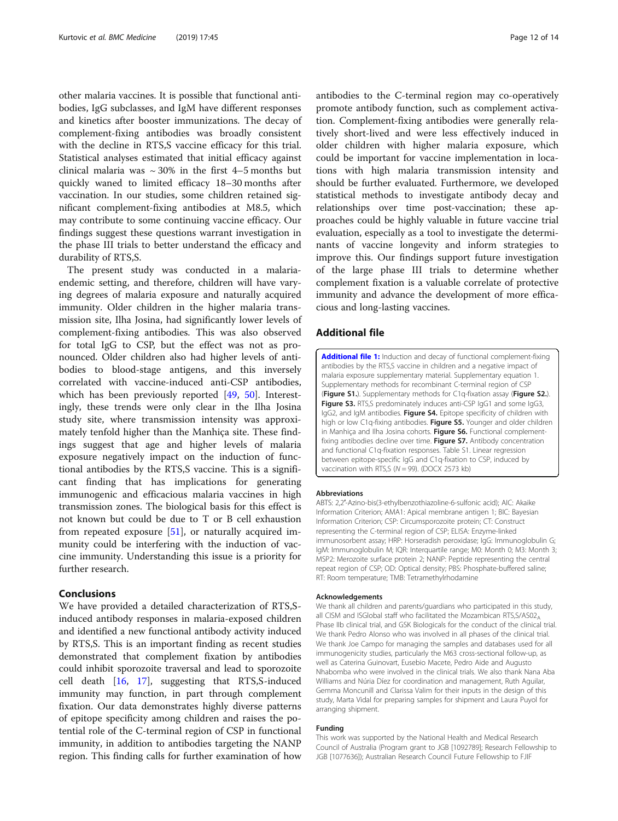<span id="page-11-0"></span>other malaria vaccines. It is possible that functional antibodies, IgG subclasses, and IgM have different responses and kinetics after booster immunizations. The decay of complement-fixing antibodies was broadly consistent with the decline in RTS,S vaccine efficacy for this trial. Statistical analyses estimated that initial efficacy against clinical malaria was  $\sim 30\%$  in the first 4–5 months but quickly waned to limited efficacy 18–30 months after vaccination. In our studies, some children retained significant complement-fixing antibodies at M8.5, which may contribute to some continuing vaccine efficacy. Our findings suggest these questions warrant investigation in the phase III trials to better understand the efficacy and durability of RTS,S.

The present study was conducted in a malariaendemic setting, and therefore, children will have varying degrees of malaria exposure and naturally acquired immunity. Older children in the higher malaria transmission site, Ilha Josina, had significantly lower levels of complement-fixing antibodies. This was also observed for total IgG to CSP, but the effect was not as pronounced. Older children also had higher levels of antibodies to blood-stage antigens, and this inversely correlated with vaccine-induced anti-CSP antibodies, which has been previously reported [[49,](#page-13-0) [50\]](#page-13-0). Interestingly, these trends were only clear in the Ilha Josina study site, where transmission intensity was approximately tenfold higher than the Manhiça site. These findings suggest that age and higher levels of malaria exposure negatively impact on the induction of functional antibodies by the RTS,S vaccine. This is a significant finding that has implications for generating immunogenic and efficacious malaria vaccines in high transmission zones. The biological basis for this effect is not known but could be due to T or B cell exhaustion from repeated exposure [\[51\]](#page-13-0), or naturally acquired immunity could be interfering with the induction of vaccine immunity. Understanding this issue is a priority for further research.

#### Conclusions

We have provided a detailed characterization of RTS,Sinduced antibody responses in malaria-exposed children and identified a new functional antibody activity induced by RTS,S. This is an important finding as recent studies demonstrated that complement fixation by antibodies could inhibit sporozoite traversal and lead to sporozoite cell death [\[16,](#page-12-0) [17\]](#page-12-0), suggesting that RTS,S-induced immunity may function, in part through complement fixation. Our data demonstrates highly diverse patterns of epitope specificity among children and raises the potential role of the C-terminal region of CSP in functional immunity, in addition to antibodies targeting the NANP region. This finding calls for further examination of how antibodies to the C-terminal region may co-operatively promote antibody function, such as complement activation. Complement-fixing antibodies were generally relatively short-lived and were less effectively induced in older children with higher malaria exposure, which could be important for vaccine implementation in locations with high malaria transmission intensity and should be further evaluated. Furthermore, we developed statistical methods to investigate antibody decay and relationships over time post-vaccination; these approaches could be highly valuable in future vaccine trial evaluation, especially as a tool to investigate the determinants of vaccine longevity and inform strategies to improve this. Our findings support future investigation of the large phase III trials to determine whether complement fixation is a valuable correlate of protective immunity and advance the development of more efficacious and long-lasting vaccines.

#### Additional file

[Additional file 1:](https://doi.org/10.1186/s12916-019-1277-x) Induction and decay of functional complement-fixing antibodies by the RTS,S vaccine in children and a negative impact of malaria exposure supplementary material. Supplementary equation 1. Supplementary methods for recombinant C-terminal region of CSP (Figure S1.). Supplementary methods for C1q-fixation assay (Figure S2.). Figure S3. RTS,S predominately induces anti-CSP IgG1 and some IgG3, IgG2, and IgM antibodies. Figure S4. Epitope specificity of children with high or low C1q-fixing antibodies. Figure S5. Younger and older children in Manhiça and Ilha Josina cohorts. Figure S6. Functional complementfixing antibodies decline over time. Figure S7. Antibody concentration and functional C1q-fixation responses. Table S1. Linear regression between epitope-specific IgG and C1q-fixation to CSP, induced by vaccination with RTS,  $N = 99$ . (DOCX 2573 kb)

#### Abbreviations

ABTS: 2,2′-Azino-bis(3-ethylbenzothiazoline-6-sulfonic acid); AIC: Akaike Information Criterion; AMA1: Apical membrane antigen 1; BIC: Bayesian Information Criterion; CSP: Circumsporozoite protein; CT: Construct representing the C-terminal region of CSP; ELISA: Enzyme-linked immunosorbent assay; HRP: Horseradish peroxidase; IgG: Immunoglobulin G; IgM: Immunoglobulin M; IQR: Interquartile range; M0: Month 0; M3: Month 3; MSP2: Merozoite surface protein 2; NANP: Peptide representing the central repeat region of CSP; OD: Optical density; PBS: Phosphate-buffered saline; RT: Room temperature; TMB: Tetramethylrhodamine

#### Acknowledgements

We thank all children and parents/guardians who participated in this study, all CISM and ISGlobal staff who facilitated the Mozambican RTS, S/AS02<sub>A</sub> Phase IIb clinical trial, and GSK Biologicals for the conduct of the clinical trial. We thank Pedro Alonso who was involved in all phases of the clinical trial. We thank Joe Campo for managing the samples and databases used for all immunogenicity studies, particularly the M63 cross-sectional follow-up, as well as Caterina Guinovart, Eusebio Macete, Pedro Aide and Augusto Nhabomba who were involved in the clinical trials. We also thank Nana Aba Williams and Núria Díez for coordination and management, Ruth Aguilar, Gemma Moncunill and Clarissa Valim for their inputs in the design of this study, Marta Vidal for preparing samples for shipment and Laura Puyol for arranging shipment.

#### Funding

This work was supported by the National Health and Medical Research Council of Australia (Program grant to JGB [1092789]; Research Fellowship to JGB [1077636]); Australian Research Council Future Fellowship to FJIF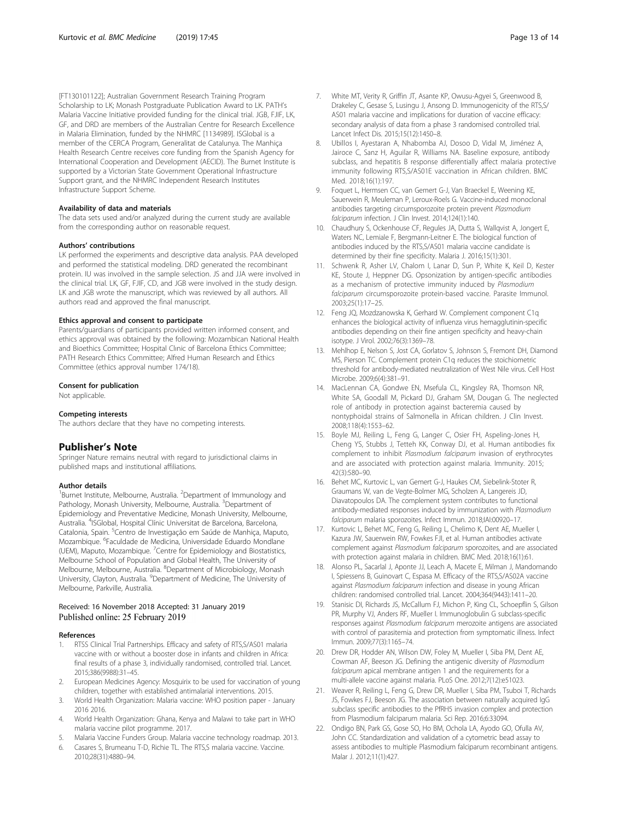<span id="page-12-0"></span>[FT130101122]; Australian Government Research Training Program Scholarship to LK; Monash Postgraduate Publication Award to LK. PATH's Malaria Vaccine Initiative provided funding for the clinical trial. JGB, FJIF, LK, GF, and DRD are members of the Australian Centre for Research Excellence in Malaria Elimination, funded by the NHMRC [1134989]. ISGlobal is a member of the CERCA Program, Generalitat de Catalunya. The Manhiça Health Research Centre receives core funding from the Spanish Agency for International Cooperation and Development (AECID). The Burnet Institute is supported by a Victorian State Government Operational Infrastructure Support grant, and the NHMRC Independent Research Institutes Infrastructure Support Scheme.

#### Availability of data and materials

The data sets used and/or analyzed during the current study are available from the corresponding author on reasonable request.

#### Authors' contributions

LK performed the experiments and descriptive data analysis. PAA developed and performed the statistical modeling. DRD generated the recombinant protein. IU was involved in the sample selection. JS and JJA were involved in the clinical trial. LK, GF, FJIF, CD, and JGB were involved in the study design. LK and JGB wrote the manuscript, which was reviewed by all authors. All authors read and approved the final manuscript.

#### Ethics approval and consent to participate

Parents/guardians of participants provided written informed consent, and ethics approval was obtained by the following: Mozambican National Health and Bioethics Committee; Hospital Clınic of Barcelona Ethics Committee; PATH Research Ethics Committee; Alfred Human Research and Ethics Committee (ethics approval number 174/18).

#### Consent for publication

Not applicable.

#### Competing interests

The authors declare that they have no competing interests.

#### Publisher's Note

Springer Nature remains neutral with regard to jurisdictional claims in published maps and institutional affiliations.

#### Author details

<sup>1</sup>Burnet Institute, Melbourne, Australia. <sup>2</sup>Department of Immunology and Pathology, Monash University, Melbourne, Australia. <sup>3</sup>Department of Epidemiology and Preventative Medicine, Monash University, Melbourne, Australia. <sup>4</sup> ISGlobal, Hospital Clínic Universitat de Barcelona, Barcelona, Catalonia, Spain. <sup>5</sup>Centro de Investigação em Saúde de Manhiça, Maputo, Mozambique. <sup>6</sup>Faculdade de Medicina, Universidade Eduardo Mondlane (UEM), Maputo, Mozambique. <sup>7</sup> Centre for Epidemiology and Biostatistics, Melbourne School of Population and Global Health, The University of Melbourne, Melbourne, Australia. <sup>8</sup>Department of Microbiology, Monash University, Clayton, Australia. <sup>9</sup>Department of Medicine, The University of Melbourne, Parkville, Australia.

#### Received: 16 November 2018 Accepted: 31 January 2019 Published online: 25 February 2019

#### References

- 1. RTSS Clinical Trial Partnerships. Efficacy and safety of RTS,S/AS01 malaria vaccine with or without a booster dose in infants and children in Africa: final results of a phase 3, individually randomised, controlled trial. Lancet. 2015;386(9988):31–45.
- 2. European Medicines Agency: Mosquirix to be used for vaccination of young children, together with established antimalarial interventions. 2015.
- 3. World Health Organization: Malaria vaccine: WHO position paper January 2016 2016.
- 4. World Health Organization: Ghana, Kenya and Malawi to take part in WHO malaria vaccine pilot programme. 2017.
- 5. Malaria Vaccine Funders Group. Malaria vaccine technology roadmap. 2013.
- 6. Casares S, Brumeanu T-D, Richie TL. The RTS,S malaria vaccine. Vaccine. 2010;28(31):4880–94.
- 7. White MT, Verity R, Griffin JT, Asante KP, Owusu-Agyei S, Greenwood B, Drakeley C, Gesase S, Lusingu J, Ansong D. Immunogenicity of the RTS,S/ AS01 malaria vaccine and implications for duration of vaccine efficacy: secondary analysis of data from a phase 3 randomised controlled trial. Lancet Infect Dis. 2015;15(12):1450–8.
- 8. Ubillos I, Ayestaran A, Nhabomba AJ, Dosoo D, Vidal M, Jiménez A, Jairoce C, Sanz H, Aguilar R, Williams NA. Baseline exposure, antibody subclass, and hepatitis B response differentially affect malaria protective immunity following RTS,S/AS01E vaccination in African children. BMC Med. 2018;16(1):197.
- 9. Foquet L, Hermsen CC, van Gemert G-J, Van Braeckel E, Weening KE, Sauerwein R, Meuleman P, Leroux-Roels G. Vaccine-induced monoclonal antibodies targeting circumsporozoite protein prevent Plasmodium falciparum infection. J Clin Invest. 2014;124(1):140.
- 10. Chaudhury S, Ockenhouse CF, Regules JA, Dutta S, Wallgyist A, Jongert E, Waters NC, Lemiale F, Bergmann-Leitner E. The biological function of antibodies induced by the RTS,S/AS01 malaria vaccine candidate is determined by their fine specificity. Malaria J. 2016;15(1):301.
- 11. Schwenk R, Asher LV, Chalom I, Lanar D, Sun P, White K, Keil D, Kester KE, Stoute J, Heppner DG. Opsonization by antigen-specific antibodies as a mechanism of protective immunity induced by Plasmodium falciparum circumsporozoite protein-based vaccine. Parasite Immunol. 2003;25(1):17–25.
- 12. Feng JQ, Mozdzanowska K, Gerhard W. Complement component C1q enhances the biological activity of influenza virus hemagglutinin-specific antibodies depending on their fine antigen specificity and heavy-chain isotype. J Virol. 2002;76(3):1369–78.
- 13. Mehlhop E, Nelson S, Jost CA, Gorlatov S, Johnson S, Fremont DH, Diamond MS, Pierson TC. Complement protein C1q reduces the stoichiometric threshold for antibody-mediated neutralization of West Nile virus. Cell Host Microbe. 2009;6(4):381–91.
- 14. MacLennan CA, Gondwe EN, Msefula CL, Kingsley RA, Thomson NR, White SA, Goodall M, Pickard DJ, Graham SM, Dougan G. The neglected role of antibody in protection against bacteremia caused by nontyphoidal strains of Salmonella in African children. J Clin Invest. 2008;118(4):1553–62.
- 15. Boyle MJ, Reiling L, Feng G, Langer C, Osier FH, Aspeling-Jones H, Cheng YS, Stubbs J, Tetteh KK, Conway DJ, et al. Human antibodies fix complement to inhibit Plasmodium falciparum invasion of erythrocytes and are associated with protection against malaria. Immunity. 2015; 42(3):580–90.
- 16. Behet MC, Kurtovic L, van Gemert G-J, Haukes CM, Siebelink-Stoter R, Graumans W, van de Vegte-Bolmer MG, Scholzen A, Langereis JD, Diavatopoulos DA. The complement system contributes to functional antibody-mediated responses induced by immunization with Plasmodium falciparum malaria sporozoites. Infect Immun. 2018;IAI:00920–17.
- 17. Kurtovic L, Behet MC, Feng G, Reiling L, Chelimo K, Dent AE, Mueller I, Kazura JW, Sauerwein RW, Fowkes FJI, et al. Human antibodies activate complement against Plasmodium falciparum sporozoites, and are associated with protection against malaria in children. BMC Med. 2018;16(1):61.
- 18. Alonso PL, Sacarlal J, Aponte JJ, Leach A, Macete E, Milman J, Mandomando I, Spiessens B, Guinovart C, Espasa M. Efficacy of the RTS,S/AS02A vaccine against Plasmodium falciparum infection and disease in young African children: randomised controlled trial. Lancet. 2004;364(9443):1411–20.
- 19. Stanisic DI, Richards JS, McCallum FJ, Michon P, King CL, Schoepflin S, Gilson PR, Murphy VJ, Anders RF, Mueller I. Immunoglobulin G subclass-specific responses against Plasmodium falciparum merozoite antigens are associated with control of parasitemia and protection from symptomatic illness. Infect Immun. 2009;77(3):1165–74.
- 20. Drew DR, Hodder AN, Wilson DW, Foley M, Mueller I, Siba PM, Dent AE, Cowman AF, Beeson JG. Defining the antigenic diversity of Plasmodium falciparum apical membrane antigen 1 and the requirements for a multi-allele vaccine against malaria. PLoS One. 2012;7(12):e51023.
- 21. Weaver R, Reiling L, Feng G, Drew DR, Mueller I, Siba PM, Tsuboi T, Richards JS, Fowkes FJ, Beeson JG. The association between naturally acquired IgG subclass specific antibodies to the PfRH5 invasion complex and protection from Plasmodium falciparum malaria. Sci Rep. 2016;6:33094.
- 22. Ondigo BN, Park GS, Gose SO, Ho BM, Ochola LA, Ayodo GO, Ofulla AV, John CC. Standardization and validation of a cytometric bead assay to assess antibodies to multiple Plasmodium falciparum recombinant antigens. Malar J. 2012;11(1):427.